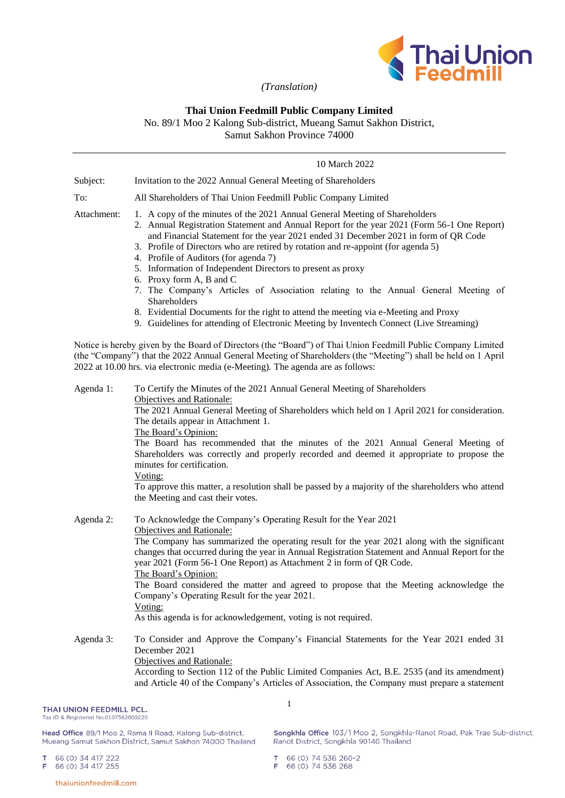

*(Translation)*

# **Thai Union Feedmill Public Company Limited**

No. 89/1 Moo 2 Kalong Sub-district, Mueang Samut Sakhon District,

Samut Sakhon Province 74000

| Subject:    | Invitation to the 2022 Annual General Meeting of Shareholders                                                                                                                                                                                                                                                                                                                                                                                                                                                                                                                                                                                                                                                                                                                      |  |  |
|-------------|------------------------------------------------------------------------------------------------------------------------------------------------------------------------------------------------------------------------------------------------------------------------------------------------------------------------------------------------------------------------------------------------------------------------------------------------------------------------------------------------------------------------------------------------------------------------------------------------------------------------------------------------------------------------------------------------------------------------------------------------------------------------------------|--|--|
| To:         | All Shareholders of Thai Union Feedmill Public Company Limited                                                                                                                                                                                                                                                                                                                                                                                                                                                                                                                                                                                                                                                                                                                     |  |  |
| Attachment: | 1. A copy of the minutes of the 2021 Annual General Meeting of Shareholders<br>2. Annual Registration Statement and Annual Report for the year 2021 (Form 56-1 One Report)<br>and Financial Statement for the year 2021 ended 31 December 2021 in form of QR Code<br>3. Profile of Directors who are retired by rotation and re-appoint (for agenda 5)<br>4. Profile of Auditors (for agenda 7)<br>5. Information of Independent Directors to present as proxy<br>6. Proxy form A, B and C<br>7. The Company's Articles of Association relating to the Annual General Meeting of<br>Shareholders<br>8. Evidential Documents for the right to attend the meeting via e-Meeting and Proxy<br>9. Guidelines for attending of Electronic Meeting by Inventech Connect (Live Streaming) |  |  |
|             | Notice is hereby given by the Board of Directors (the "Board") of Thai Union Feedmill Public Company Limited<br>(the "Company") that the 2022 Annual General Meeting of Shareholders (the "Meeting") shall be held on 1 April<br>2022 at 10.00 hrs. via electronic media (e-Meeting). The agenda are as follows:                                                                                                                                                                                                                                                                                                                                                                                                                                                                   |  |  |
| Agenda 1:   | To Certify the Minutes of the 2021 Annual General Meeting of Shareholders<br>Objectives and Rationale:<br>The 2021 Annual General Meeting of Shareholders which held on 1 April 2021 for consideration.<br>The details appear in Attachment 1.<br>The Board's Opinion:<br>The Board has recommended that the minutes of the 2021 Annual General Meeting of<br>Shareholders was correctly and properly recorded and deemed it appropriate to propose the<br>minutes for certification.<br>Voting:<br>To approve this matter, a resolution shall be passed by a majority of the shareholders who attend<br>the Meeting and cast their votes.                                                                                                                                         |  |  |
| Agenda 2:   | To Acknowledge the Company's Operating Result for the Year 2021<br>Objectives and Rationale:<br>The Company has summarized the operating result for the year 2021 along with the significant<br>changes that occurred during the year in Annual Registration Statement and Annual Report for the<br>year 2021 (Form 56-1 One Report) as Attachment 2 in form of QR Code.<br>The Board's Opinion:<br>The Board considered the matter and agreed to propose that the Meeting acknowledge the<br>Company's Operating Result for the year 2021.<br>Voting:<br>As this agenda is for acknowledgement, voting is not required.                                                                                                                                                           |  |  |
| Agenda 3:   | To Consider and Approve the Company's Financial Statements for the Year 2021 ended 31<br>December 2021<br>Objectives and Rationale:<br>According to Section 112 of the Public Limited Companies Act, B.E. 2535 (and its amendment)<br>and Article 40 of the Company's Articles of Association, the Company must prepare a statement<br>1                                                                                                                                                                                                                                                                                                                                                                                                                                           |  |  |

# THAI UNION FEEDMILL PCL.

Tax ID & Registered No.0107562000220

Head Office 89/1 Moo 2, Rama II Road, Kalong Sub-district, Mueang Samut Sakhon District, Samut Sakhon 74000 Thailand Songkhla Office 103/1 Moo 2, Songkhla-Ranot Road, Pak Trae Sub-district, Ranot District, Songkhla 90140 Thailand

66 (0) 34 417 222<br>66 (0) 34 417 255  $\mathbf{T}$ F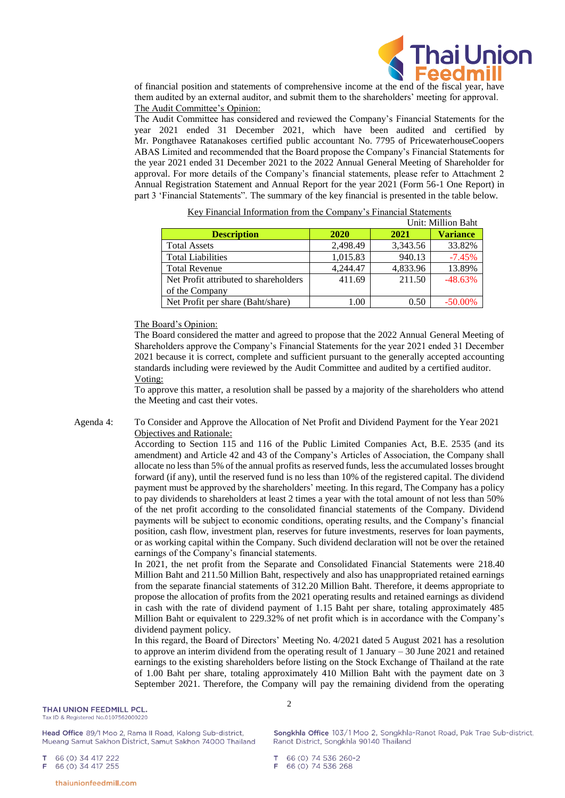

of financial position and statements of comprehensive income at the end of the fiscal year, have them audited by an external auditor, and submit them to the shareholders' meeting for approval. The Audit Committee's Opinion:

The Audit Committee has considered and reviewed the Company's Financial Statements for the year 2021 ended 31 December 2021, which have been audited and certified by Mr. Pongthavee Ratanakoses certified public accountant No. 7795 of PricewaterhouseCoopers ABAS Limited and recommended that the Board propose the Company's Financial Statements for the year 2021 ended 31 December 2021 to the 2022 Annual General Meeting of Shareholder for approval. For more details of the Company's financial statements, please refer to Attachment 2 Annual Registration Statement and Annual Report for the year 2021 (Form 56-1 One Report) in part 3 'Financial Statements". The summary of the key financial is presented in the table below.

| Unit: Million Baht                    |          |          |                 |
|---------------------------------------|----------|----------|-----------------|
| <b>Description</b>                    | 2020     | 2021     | <b>Variance</b> |
| <b>Total Assets</b>                   | 2,498.49 | 3,343.56 | 33.82%          |
| <b>Total Liabilities</b>              | 1,015.83 | 940.13   | $-7.45%$        |
| <b>Total Revenue</b>                  | 4.244.47 | 4,833.96 | 13.89%          |
| Net Profit attributed to shareholders | 411.69   | 211.50   | $-48.63%$       |
| of the Company                        |          |          |                 |
| Net Profit per share (Baht/share)     | 1.00     | 0.50     | $-50.00\%$      |

Key Financial Information from the Company's Financial Statements

### The Board's Opinion:

The Board considered the matter and agreed to propose that the 2022 Annual General Meeting of Shareholders approve the Company's Financial Statements for the year 2021 ended 31 December 2021 because it is correct, complete and sufficient pursuant to the generally accepted accounting standards including were reviewed by the Audit Committee and audited by a certified auditor. Voting:

To approve this matter, a resolution shall be passed by a majority of the shareholders who attend the Meeting and cast their votes.

Agenda 4: To Consider and Approve the Allocation of Net Profit and Dividend Payment for the Year 2021 Objectives and Rationale:

> According to Section 115 and 116 of the Public Limited Companies Act, B.E. 2535 (and its amendment) and Article 42 and 43 of the Company's Articles of Association, the Company shall allocate no less than 5% of the annual profits as reserved funds, less the accumulated losses brought forward (if any), until the reserved fund is no less than 10% of the registered capital. The dividend payment must be approved by the shareholders' meeting. In this regard, The Company has a policy to pay dividends to shareholders at least 2 times a year with the total amount of not less than 50% of the net profit according to the consolidated financial statements of the Company. Dividend payments will be subject to economic conditions, operating results, and the Company's financial position, cash flow, investment plan, reserves for future investments, reserves for loan payments, or as working capital within the Company. Such dividend declaration will not be over the retained earnings of the Company's financial statements.

> In 2021, the net profit from the Separate and Consolidated Financial Statements were 218.40 Million Baht and 211.50 Million Baht, respectively and also has unappropriated retained earnings from the separate financial statements of 312.20 Million Baht. Therefore, it deems appropriate to propose the allocation of profits from the 2021 operating results and retained earnings as dividend in cash with the rate of dividend payment of 1.15 Baht per share, totaling approximately 485 Million Baht or equivalent to 229.32% of net profit which is in accordance with the Company's dividend payment policy.

> In this regard, the Board of Directors' Meeting No. 4/2021 dated 5 August 2021 has a resolution to approve an interim dividend from the operating result of 1 January – 30 June 2021 and retained earnings to the existing shareholders before listing on the Stock Exchange of Thailand at the rate of 1.00 Baht per share, totaling approximately 410 Million Baht with the payment date on 3 September 2021. Therefore, the Company will pay the remaining dividend from the operating

 $\mathfrak{D}$ 

Head Office 89/1 Moo 2, Rama II Road, Kalong Sub-district, Mueang Samut Sakhon District, Samut Sakhon 74000 Thailand

66 (0) 34 417 222 66 (0) 34 417 255

thaiunionfeedmill.com

Songkhla Office 103/1 Moo 2, Songkhla-Ranot Road, Pak Trae Sub-district, Ranot District, Songkhla 90140 Thailand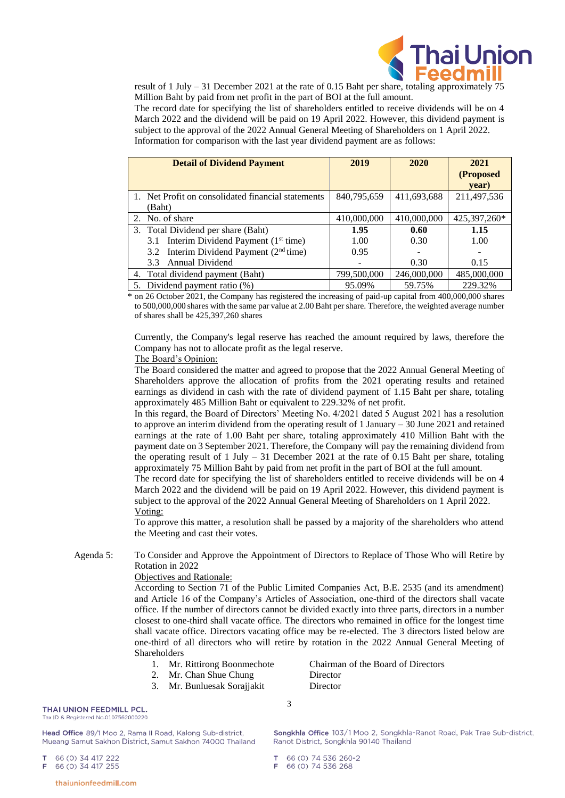

result of 1 July – 31 December 2021 at the rate of 0.15 Baht per share, totaling approximately 75 Million Baht by paid from net profit in the part of BOI at the full amount.

The record date for specifying the list of shareholders entitled to receive dividends will be on 4 March 2022 and the dividend will be paid on 19 April 2022. However, this dividend payment is subject to the approval of the 2022 Annual General Meeting of Shareholders on 1 April 2022. Information for comparison with the last year dividend payment are as follows:

| <b>Detail of Dividend Payment</b>                  | 2019        | 2020        | 2021         |
|----------------------------------------------------|-------------|-------------|--------------|
|                                                    |             |             | (Proposed    |
|                                                    |             |             | year)        |
| 1. Net Profit on consolidated financial statements | 840,795,659 | 411,693,688 | 211,497,536  |
| (Baht)                                             |             |             |              |
| 2. No. of share                                    | 410,000,000 | 410,000,000 | 425,397,260* |
| 3. Total Dividend per share (Baht)                 | 1.95        | 0.60        | 1.15         |
| 3.1 Interim Dividend Payment $(1st time)$          | 1.00        | 0.30        | 1.00         |
| 3.2 Interim Dividend Payment $(2nd time)$          | 0.95        |             |              |
| Annual Dividend<br>3.3                             |             | 0.30        | 0.15         |
| 4. Total dividend payment (Baht)                   | 799,500,000 | 246,000,000 | 485,000,000  |
| 5. Dividend payment ratio (%)                      | 95.09%      | 59.75%      | 229.32%      |

\* on 26 October 2021, the Company has registered the increasing of paid-up capital from 400,000,000 shares to 500,000,000 shares with the same par value at 2.00 Baht per share. Therefore, the weighted average number of shares shall be 425,397,260 shares

Currently, the Company's legal reserve has reached the amount required by laws, therefore the Company has not to allocate profit as the legal reserve.

# The Board's Opinion:

The Board considered the matter and agreed to propose that the 2022 Annual General Meeting of Shareholders approve the allocation of profits from the 2021 operating results and retained earnings as dividend in cash with the rate of dividend payment of 1.15 Baht per share, totaling approximately 485 Million Baht or equivalent to 229.32% of net profit.

In this regard, the Board of Directors' Meeting No. 4/2021 dated 5 August 2021 has a resolution to approve an interim dividend from the operating result of 1 January – 30 June 2021 and retained earnings at the rate of 1.00 Baht per share, totaling approximately 410 Million Baht with the payment date on 3 September 2021. Therefore, the Company will pay the remaining dividend from the operating result of 1 July  $-31$  December 2021 at the rate of 0.15 Baht per share, totaling approximately 75 Million Baht by paid from net profit in the part of BOI at the full amount.

The record date for specifying the list of shareholders entitled to receive dividends will be on 4 March 2022 and the dividend will be paid on 19 April 2022. However, this dividend payment is subject to the approval of the 2022 Annual General Meeting of Shareholders on 1 April 2022. Voting:

To approve this matter, a resolution shall be passed by a majority of the shareholders who attend the Meeting and cast their votes.

Agenda 5: To Consider and Approve the Appointment of Directors to Replace of Those Who will Retire by Rotation in 2022

3

### Objectives and Rationale:

According to Section 71 of the Public Limited Companies Act, B.E. 2535 (and its amendment) and Article 16 of the Company's Articles of Association, one-third of the directors shall vacate office. If the number of directors cannot be divided exactly into three parts, directors in a number closest to one-third shall vacate office. The directors who remained in office for the longest time shall vacate office. Directors vacating office may be re-elected. The 3 directors listed below are one-third of all directors who will retire by rotation in the 2022 Annual General Meeting of Shareholders

- 
- 2. Mr. Chan Shue Chung Director
- 3. Mr. Bunluesak Sorajjakit Director

1. Mr. Rittirong Boonmechote Chairman of the Board of Directors

# THAI UNION FEEDMILL PCL.

Tax ID & Registered No.0107562000220

Head Office 89/1 Moo 2, Rama II Road, Kalong Sub-district, Mueang Samut Sakhon District, Samut Sakhon 74000 Thailand

66 (0) 34 417 222 66 (0) 34 417 255 Songkhla Office 103/1 Moo 2, Songkhla-Ranot Road, Pak Trae Sub-district, Ranot District, Songkhla 90140 Thailand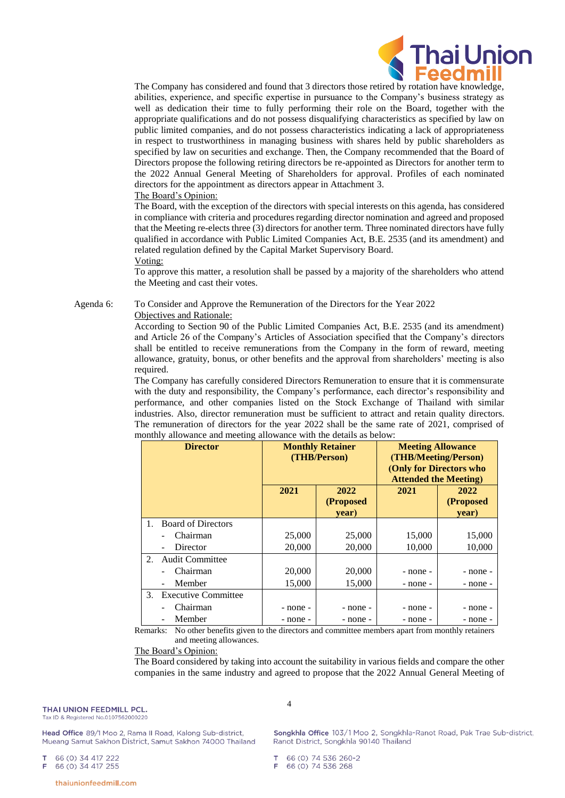

The Company has considered and found that 3 directors those retired by rotation have knowledge, abilities, experience, and specific expertise in pursuance to the Company's business strategy as well as dedication their time to fully performing their role on the Board, together with the appropriate qualifications and do not possess disqualifying characteristics as specified by law on public limited companies, and do not possess characteristics indicating a lack of appropriateness in respect to trustworthiness in managing business with shares held by public shareholders as specified by law on securities and exchange. Then, the Company recommended that the Board of Directors propose the following retiring directors be re-appointed as Directors for another term to the 2022 Annual General Meeting of Shareholders for approval. Profiles of each nominated directors for the appointment as directors appear in Attachment 3.

# The Board's Opinion:

The Board, with the exception of the directors with special interests on this agenda, has considered in compliance with criteria and procedures regarding director nomination and agreed and proposed that the Meeting re-elects three (3) directors for another term. Three nominated directors have fully qualified in accordance with Public Limited Companies Act, B.E. 2535 (and its amendment) and related regulation defined by the Capital Market Supervisory Board. Voting:

To approve this matter, a resolution shall be passed by a majority of the shareholders who attend the Meeting and cast their votes.

# Agenda 6: To Consider and Approve the Remuneration of the Directors for the Year 2022

Objectives and Rationale:

According to Section 90 of the Public Limited Companies Act, B.E. 2535 (and its amendment) and Article 26 of the Company's Articles of Association specified that the Company's directors shall be entitled to receive remunerations from the Company in the form of reward, meeting allowance, gratuity, bonus, or other benefits and the approval from shareholders' meeting is also required.

The Company has carefully considered Directors Remuneration to ensure that it is commensurate with the duty and responsibility, the Company's performance, each director's responsibility and performance, and other companies listed on the Stock Exchange of Thailand with similar industries. Also, director remuneration must be sufficient to attract and retain quality directors. The remuneration of directors for the year 2022 shall be the same rate of 2021, comprised of monthly allowance and meeting allowance with the details as below:

| <b>Director</b> |                                      | <b>Monthly Retainer</b><br>(THB/Person) |                            | <b>Meeting Allowance</b><br>(THB/Meeting/Person)<br>(Only for Directors who<br><b>Attended the Meeting)</b> |                            |
|-----------------|--------------------------------------|-----------------------------------------|----------------------------|-------------------------------------------------------------------------------------------------------------|----------------------------|
|                 |                                      | 2021                                    | 2022<br>(Proposed<br>year) | 2021                                                                                                        | 2022<br>(Proposed<br>year) |
| 1.              | <b>Board of Directors</b>            |                                         |                            |                                                                                                             |                            |
|                 | Chairman                             | 25,000                                  | 25,000                     | 15,000                                                                                                      | 15,000                     |
|                 | Director<br>$\blacksquare$           | 20,000                                  | 20,000                     | 10,000                                                                                                      | 10,000                     |
| $2^{1}$         | <b>Audit Committee</b>               |                                         |                            |                                                                                                             |                            |
|                 | Chairman<br>$\overline{\phantom{0}}$ | 20,000                                  | 20,000                     | - none -                                                                                                    | - none -                   |
|                 | Member<br>$\overline{\phantom{a}}$   | 15,000                                  | 15,000                     | - none -                                                                                                    | - none -                   |
| 3.              | Executive Committee                  |                                         |                            |                                                                                                             |                            |
|                 | Chairman                             | - none -                                | - none -                   | - none -                                                                                                    | - none -                   |
|                 | Member<br>$\overline{\phantom{0}}$   | - none -                                | - none -                   | - none -                                                                                                    | - none -                   |

Remarks: No other benefits given to the directors and committee members apart from monthly retainers and meeting allowances.

### The Board's Opinion:

The Board considered by taking into account the suitability in various fields and compare the other companies in the same industry and agreed to propose that the 2022 Annual General Meeting of

Head Office 89/1 Moo 2, Rama II Road, Kalong Sub-district, Mueang Samut Sakhon District, Samut Sakhon 74000 Thailand 4

Songkhla Office 103/1 Moo 2, Songkhla-Ranot Road, Pak Trae Sub-district, Ranot District, Songkhla 90140 Thailand

66 (0) 34 417 222 66 (0) 34 417 255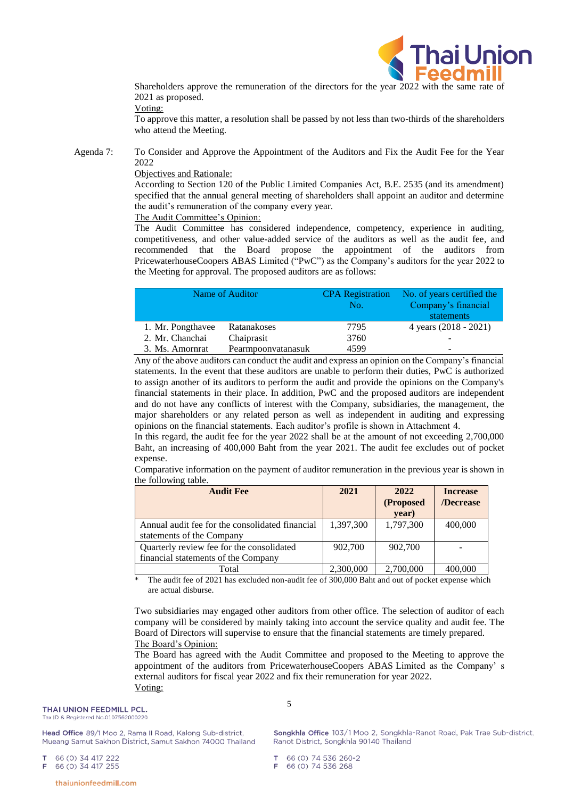

Shareholders approve the remuneration of the directors for the year 2022 with the same rate of 2021 as proposed.

Voting:

To approve this matter, a resolution shall be passed by not less than two-thirds of the shareholders who attend the Meeting.

Agenda 7: To Consider and Approve the Appointment of the Auditors and Fix the Audit Fee for the Year 2022

### Objectives and Rationale:

According to Section 120 of the Public Limited Companies Act, B.E. 2535 (and its amendment) specified that the annual general meeting of shareholders shall appoint an auditor and determine the audit's remuneration of the company every year.

The Audit Committee's Opinion:

The Audit Committee has considered independence, competency, experience in auditing, competitiveness, and other value-added service of the auditors as well as the audit fee, and recommended that the Board propose the appointment of the auditors from PricewaterhouseCoopers ABAS Limited ("PwC") as the Company's auditors for the year 2022 to the Meeting for approval. The proposed auditors are as follows:

|                                       | Name of Auditor | <b>CPA</b> Registration | No. of years certified the |
|---------------------------------------|-----------------|-------------------------|----------------------------|
|                                       |                 | No.                     | Company's financial        |
|                                       |                 |                         | statements                 |
| 1. Mr. Pongthavee                     | Ratanakoses     | 7795                    | 4 years (2018 - 2021)      |
| 2. Mr. Chanchai<br>Chaiprasit         |                 | 3760                    | -                          |
| Pearmpoonvatanasuk<br>3. Ms. Amorniat |                 | 4599                    | -                          |

Any of the above auditors can conduct the audit and express an opinion on the Company's financial statements. In the event that these auditors are unable to perform their duties, PwC is authorized to assign another of its auditors to perform the audit and provide the opinions on the Company's financial statements in their place. In addition, PwC and the proposed auditors are independent and do not have any conflicts of interest with the Company, subsidiaries, the management, the major shareholders or any related person as well as independent in auditing and expressing opinions on the financial statements. Each auditor's profile is shown in Attachment 4.

In this regard, the audit fee for the year 2022 shall be at the amount of not exceeding 2,700,000 Baht, an increasing of 400,000 Baht from the year 2021. The audit fee excludes out of pocket expense.

Comparative information on the payment of auditor remuneration in the previous year is shown in the following table.

| <b>Audit Fee</b>                                                                 | 2021      | 2022               | <b>Increase</b> |
|----------------------------------------------------------------------------------|-----------|--------------------|-----------------|
|                                                                                  |           | (Proposed<br>year) | /Decrease       |
| Annual audit fee for the consolidated financial<br>statements of the Company     | 1,397,300 | 1,797,300          | 400,000         |
| Quarterly review fee for the consolidated<br>financial statements of the Company | 902,700   | 902,700            |                 |
| Total                                                                            | 2,300,000 | 2,700,000          | 00.000          |

The audit fee of 2021 has excluded non-audit fee of 300,000 Baht and out of pocket expense which are actual disburse.

Two subsidiaries may engaged other auditors from other office. The selection of auditor of each company will be considered by mainly taking into account the service quality and audit fee. The Board of Directors will supervise to ensure that the financial statements are timely prepared. The Board's Opinion:

The Board has agreed with the Audit Committee and proposed to the Meeting to approve the appointment of the auditors from PricewaterhouseCoopers ABAS Limited as the Company' s external auditors for fiscal year 2022 and fix their remuneration for year 2022. Voting:

5

Head Office 89/1 Moo 2, Rama II Road, Kalong Sub-district, Mueang Samut Sakhon District, Samut Sakhon 74000 Thailand Songkhla Office 103/1 Moo 2, Songkhla-Ranot Road, Pak Trae Sub-district, Ranot District, Songkhla 90140 Thailand

66 (0) 34 417 222 66 (0) 34 417 255

thaiunionfeedmill.com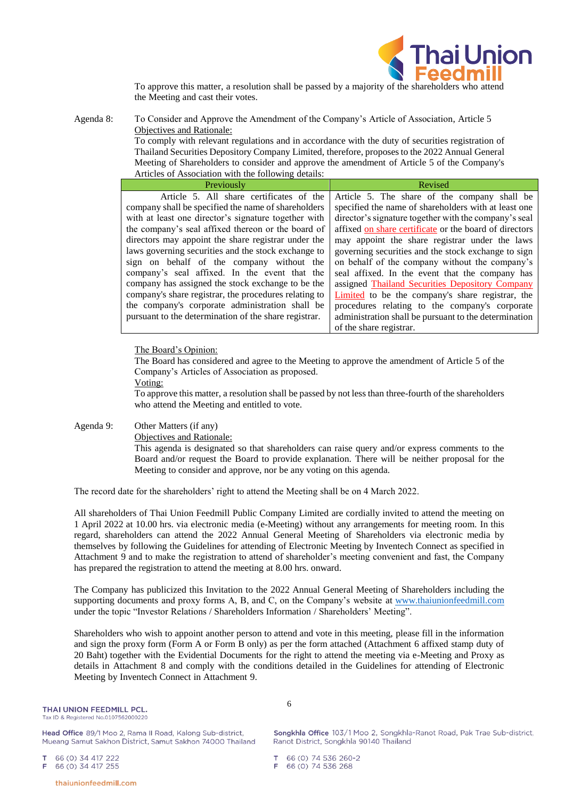

To approve this matter, a resolution shall be passed by a majority of the shareholders who attend the Meeting and cast their votes.

Agenda 8: To Consider and Approve the Amendment of the Company's Article of Association, Article 5 Objectives and Rationale:

To comply with relevant regulations and in accordance with the duty of securities registration of Thailand Securities Depository Company Limited, therefore, proposes to the 2022 Annual General Meeting of Shareholders to consider and approve the amendment of Article 5 of the Company's Articles of Association with the following details:

| Previously                                            | Revised                                                |
|-------------------------------------------------------|--------------------------------------------------------|
| Article 5. All share certificates of the              | Article 5. The share of the company shall be           |
| company shall be specified the name of shareholders   | specified the name of shareholders with at least one   |
| with at least one director's signature together with  | director's signature together with the company's seal  |
| the company's seal affixed thereon or the board of    | affixed on share certificate or the board of directors |
| directors may appoint the share registrar under the   | may appoint the share registrar under the laws         |
| laws governing securities and the stock exchange to   | governing securities and the stock exchange to sign    |
| sign on behalf of the company without the             | on behalf of the company without the company's         |
| company's seal affixed. In the event that the         | seal affixed. In the event that the company has        |
| company has assigned the stock exchange to be the     | assigned Thailand Securities Depository Company        |
| company's share registrar, the procedures relating to | Limited to be the company's share registrar, the       |
| the company's corporate administration shall be       | procedures relating to the company's corporate         |
| pursuant to the determination of the share registrar. | administration shall be pursuant to the determination  |
|                                                       | of the share registrar.                                |

### The Board's Opinion:

The Board has considered and agree to the Meeting to approve the amendment of Article 5 of the Company's Articles of Association as proposed.

Voting:

To approve this matter, a resolution shall be passed by not less than three-fourth of the shareholders who attend the Meeting and entitled to vote.

### Agenda 9: Other Matters (if any)

Objectives and Rationale:

This agenda is designated so that shareholders can raise query and/or express comments to the Board and/or request the Board to provide explanation. There will be neither proposal for the Meeting to consider and approve, nor be any voting on this agenda.

The record date for the shareholders' right to attend the Meeting shall be on 4 March 2022.

All shareholders of Thai Union Feedmill Public Company Limited are cordially invited to attend the meeting on 1 April 2022 at 10.00 hrs. via electronic media (e-Meeting) without any arrangements for meeting room. In this regard, shareholders can attend the 2022 Annual General Meeting of Shareholders via electronic media by themselves by following the Guidelines for attending of Electronic Meeting by Inventech Connect as specified in Attachment 9 and to make the registration to attend of shareholder's meeting convenient and fast, the Company has prepared the registration to attend the meeting at 8.00 hrs. onward.

The Company has publicized this Invitation to the 2022 Annual General Meeting of Shareholders including the supporting documents and proxy forms A, B, and C, on the Company's website at [www.thaiunionfeedmill.com](http://www.thaiunionfeedmill.com/) under the topic "Investor Relations / Shareholders Information / Shareholders' Meeting".

Shareholders who wish to appoint another person to attend and vote in this meeting, please fill in the information and sign the proxy form (Form A or Form B only) as per the form attached (Attachment 6 affixed stamp duty of 20 Baht) together with the Evidential Documents for the right to attend the meeting via e-Meeting and Proxy as details in Attachment 8 and comply with the conditions detailed in the Guidelines for attending of Electronic Meeting by Inventech Connect in Attachment 9.

6

Head Office 89/1 Moo 2, Rama II Road, Kalong Sub-district, Mueang Samut Sakhon District, Samut Sakhon 74000 Thailand

66 (0) 34 417 222 66 (0) 34 417 255

thaiunionfeedmill.com

Songkhla Office 103/1 Moo 2, Songkhla-Ranot Road, Pak Trae Sub-district, Ranot District, Songkhla 90140 Thailand